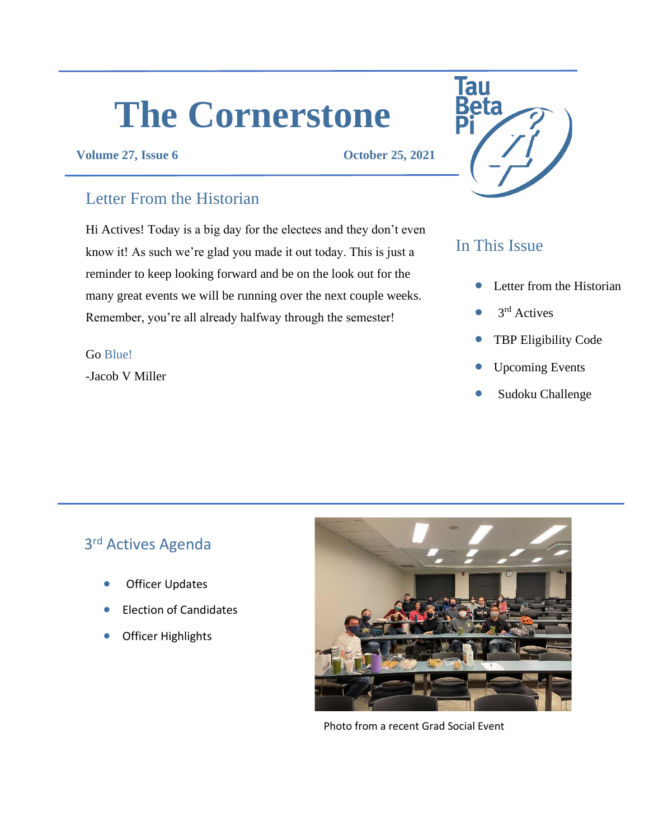# **The Cornerstone**

#### **Volume 27, Issue 6 October 25, 2021**

## Letter From the Historian

Hi Actives! Today is a big day for the electees and they don't even know it! As such we're glad you made it out today. This is just a reminder to keep looking forward and be on the look out for the many great events we will be running over the next couple weeks. Remember, you're all already halfway through the semester!

#### Go Blue!

-Jacob V Miller



# In This Issue

- Letter from the Historian
- $\bullet$  3<sup>rd</sup> Actives
- TBP Eligibility Code
- Upcoming Events
- Sudoku Challenge

# 3<sup>rd</sup> Actives Agenda

- **Officer Updates**
- Election of Candidates
- Officer Highlights



Photo from a recent Grad Social Event